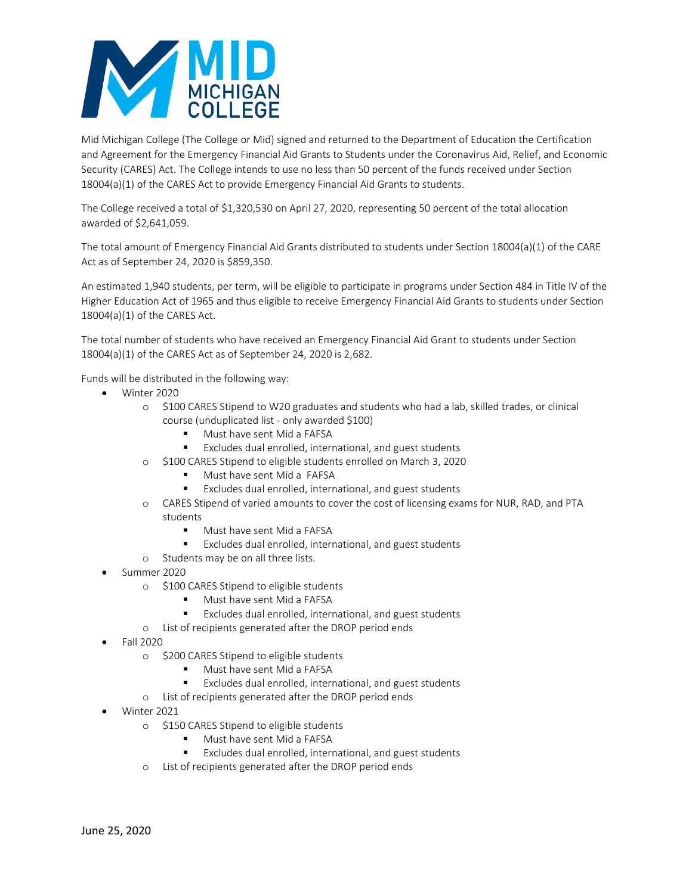

Mid Michigan College (The College or Mid) signed and returned to the Department of Education the Certification and Agreement for the Emergency Financial Aid Grants to Students under the Coronavirus Aid, Relief, and Economic Security (CARES) Act. The College intends to use no less than 50 percent of the funds received under Section 18004(a)(1) of the CARES Act to provide Emergency Financial Aid Grants to students.

The College received a total of \$1,320,530 on April 27, 2020, representing 50 percent of the total allocation awarded of \$2,641,059.

The total amount of Emergency Financial Aid Grants distributed to students under Section 18004(a)(1) of the CARE Act as of September 24, 2020 is \$859,350.

An estimated 1,940 students, per term, will be eligible to participate in programs under Section 484 in Title IV of the Higher Education Act of 1965 and thus eligible to receive Emergency Financial Aid Grants to students under Section 18004(a)(1) of the CARES Act.

The total number of students who have received an Emergency Financial Aid Grant to students under Section 18004(a)(1) of the CARES Act as of September 24, 2020 is 2,682.

Funds will be distributed in the following way:

- Winter 2020
	- o \$100 CARES Stipend to W20 graduates and students who had a lab, skilled trades, or clinical course (unduplicated list - only awarded \$100)
		- Must have sent Mid a FAFSA
		- Excludes dual enrolled, international, and guest students
	- o \$100 CARES Stipend to eligible students enrolled on March 3, 2020
		- Must have sent Mid a FAFSA
		- Excludes dual enrolled, international, and guest students
	- o CARES Stipend of varied amounts to cover the cost of licensing exams for NUR, RAD, and PTA students
		- **Must have sent Mid a FAFSA**
		- Excludes dual enrolled, international, and guest students
	- o Students may be on all three lists.
- Summer 2020
	- o \$100 CARES Stipend to eligible students
		- Must have sent Mid a FAFSA
		- Excludes dual enrolled, international, and guest students
	- o List of recipients generated after the DROP period ends
- Fall 2020
	- o \$200 CARES Stipend to eligible students
		- Must have sent Mid a FAFSA
		- Excludes dual enrolled, international, and guest students
	- o List of recipients generated after the DROP period ends
- Winter 2021
	- o \$150 CARES Stipend to eligible students
		- **Must have sent Mid a FAFSA**
		- Excludes dual enrolled, international, and guest students
	- o List of recipients generated after the DROP period ends